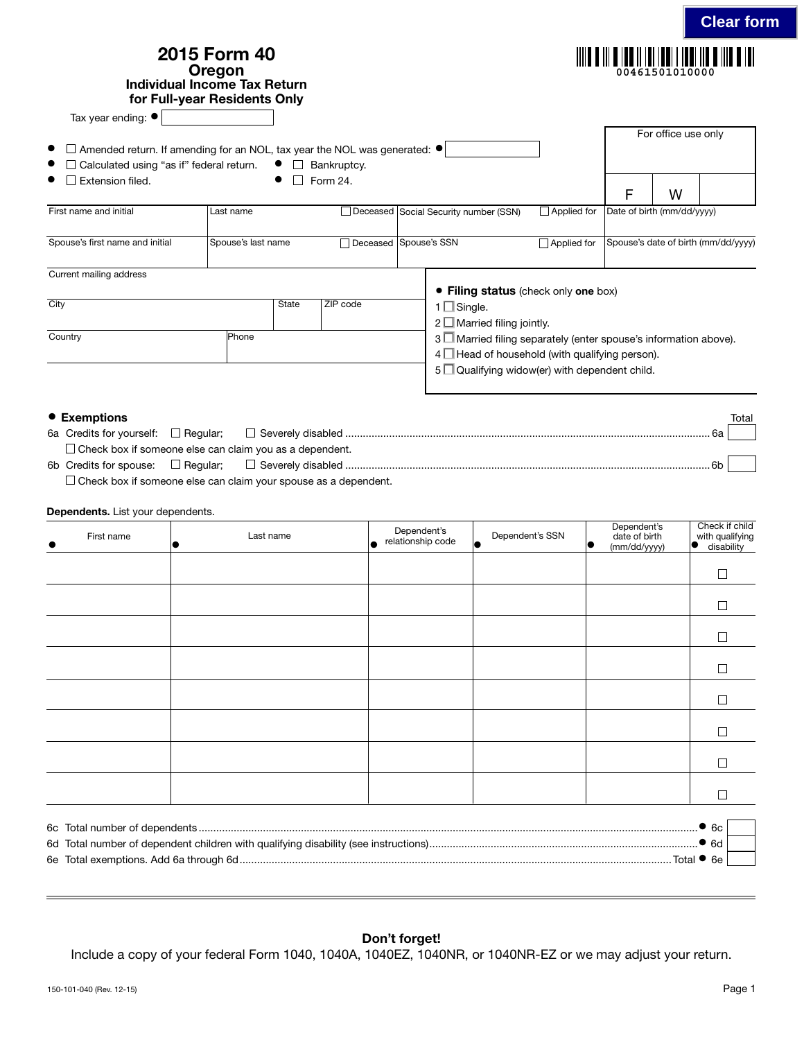| Individual Income Tax Return<br>Tax year ending: ●                                                                                                | 2015 Form 40<br>Oregon<br>for Full-year Residents Only |       |                         |                                                                                                                                                                               | 00461501010000                      |
|---------------------------------------------------------------------------------------------------------------------------------------------------|--------------------------------------------------------|-------|-------------------------|-------------------------------------------------------------------------------------------------------------------------------------------------------------------------------|-------------------------------------|
| Amended return. If amending for an NOL, tax year the NOL was generated: $\bullet$<br>Calculated using "as if" federal return.<br>Extension filed. |                                                        | ⊔     | Bankruptcy.<br>Form 24. |                                                                                                                                                                               | For office use only<br>W<br>F       |
| First name and initial                                                                                                                            | Last name                                              |       |                         | Applied for<br>□ Deceased Social Security number (SSN)                                                                                                                        | Date of birth (mm/dd/yyyy)          |
| Spouse's first name and initial                                                                                                                   | Spouse's last name                                     |       | □ Deceased Spouse's SSN | $\Box$ Applied for                                                                                                                                                            | Spouse's date of birth (mm/dd/yyyy) |
| Current mailing address<br>City                                                                                                                   |                                                        | State | ZIP code                | • Filing status (check only one box)<br>$1 \square$ Single.<br>$2 \Box$ Married filing jointly.                                                                               |                                     |
| Country                                                                                                                                           | Phone                                                  |       |                         | 3 Married filing separately (enter spouse's information above).<br>$4 \Box$ Head of household (with qualifying person).<br>$5\Box$ Qualifying widow(er) with dependent child. |                                     |

| ● Exemptions |                                                                | Total |
|--------------|----------------------------------------------------------------|-------|
|              |                                                                |       |
|              | $\Box$ Check box if someone else can claim you as a dependent. |       |
|              | 6ŀ                                                             |       |

 $\square$  Check box if someone else can claim your spouse as a dependent.

## Dependents. List your dependents.

| First name | Last name | Dependent's<br>relationship code<br>ه۱ | Dependent's SSN<br>$\bullet$ | Dependent's<br>date of birth<br>$\bullet$<br>(mm/dd/yyyy) | Check if child<br>with qualifying<br>disability<br>$\bullet$ |
|------------|-----------|----------------------------------------|------------------------------|-----------------------------------------------------------|--------------------------------------------------------------|
|            |           |                                        |                              |                                                           |                                                              |
|            |           |                                        |                              |                                                           |                                                              |
|            |           |                                        |                              |                                                           |                                                              |
|            |           |                                        |                              |                                                           |                                                              |
|            |           |                                        |                              |                                                           |                                                              |
|            |           |                                        |                              |                                                           |                                                              |
|            |           |                                        |                              |                                                           |                                                              |
|            |           |                                        |                              |                                                           |                                                              |
|            |           |                                        |                              |                                                           | $\bullet$ 6c                                                 |

| 6d Total number of dependent children with qualifying disability (see instructions). |  |
|--------------------------------------------------------------------------------------|--|
| 6e Total exemptions. Add 6a through 6d                                               |  |

## Don't forget!

Include a copy of your federal Form 1040, 1040A, 1040EZ, 1040NR, or 1040NR-EZ or we may adjust your return.

**Clear form**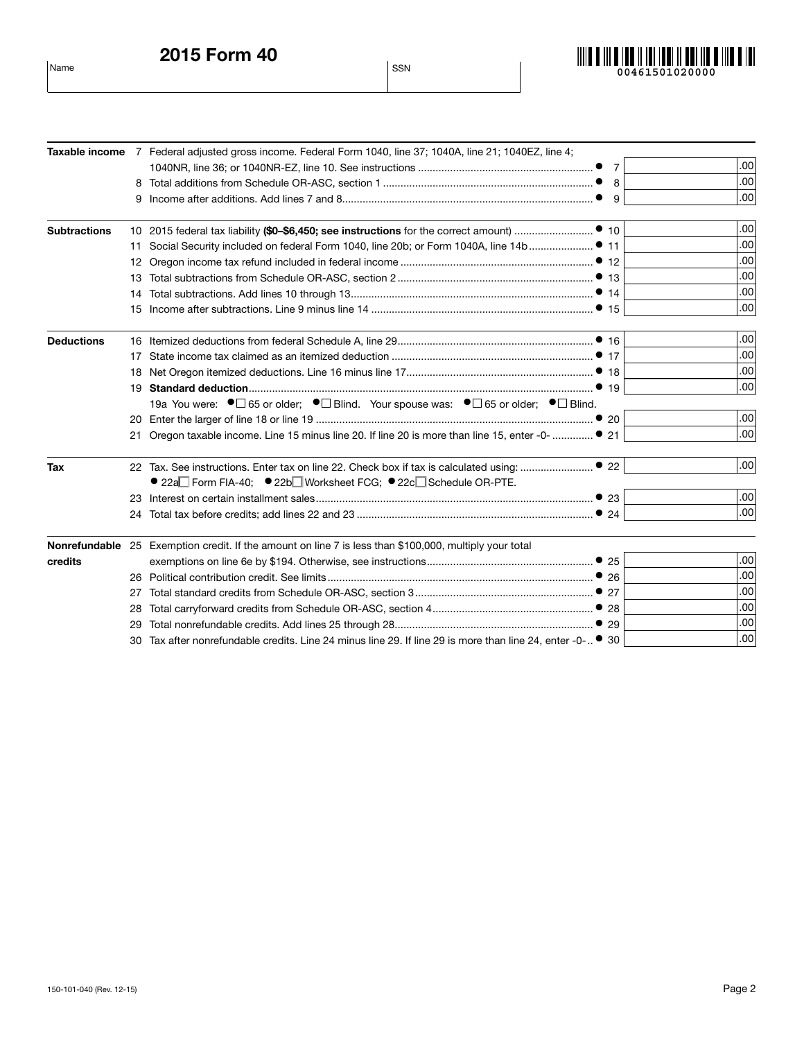2015 Form 40 Name SSN



|                     |    | Taxable income 7 Federal adjusted gross income. Federal Form 1040, line 37; 1040A, line 21; 1040EZ, line 4; |                |                  |
|---------------------|----|-------------------------------------------------------------------------------------------------------------|----------------|------------------|
|                     |    |                                                                                                             | $\overline{7}$ | .00              |
|                     |    |                                                                                                             | 8              | .00              |
|                     | 9  |                                                                                                             | 9              | .00              |
| <b>Subtractions</b> |    |                                                                                                             |                | .00              |
|                     | 11 |                                                                                                             |                | .00              |
|                     | 12 |                                                                                                             |                | .00              |
|                     |    |                                                                                                             |                | .00              |
|                     | 14 |                                                                                                             |                | .00              |
|                     | 15 |                                                                                                             |                | .00              |
| <b>Deductions</b>   |    |                                                                                                             |                | .00              |
|                     | 17 |                                                                                                             |                | .00              |
|                     | 18 |                                                                                                             |                | .00              |
|                     | 19 |                                                                                                             |                | .00              |
|                     |    | 19a You were: ●□ 65 or older; ●□ Blind. Your spouse was: ●□ 65 or older; ●□ Blind.                          |                |                  |
|                     |    |                                                                                                             |                | .00 <sub>1</sub> |
|                     |    | Oregon taxable income. Line 15 minus line 20. If line 20 is more than line 15, enter -0-  ● 21              |                | .00              |
| Tax                 |    |                                                                                                             |                | .00 <sub>1</sub> |
|                     |    | ● 22a Form FIA-40; ● 22b Worksheet FCG; ● 22c Schedule OR-PTE.                                              |                |                  |
|                     |    |                                                                                                             |                | .00 <sub>1</sub> |
|                     |    |                                                                                                             |                | .00              |
|                     |    | Nonrefundable 25 Exemption credit. If the amount on line 7 is less than \$100,000, multiply your total      |                |                  |
| credits             |    |                                                                                                             |                | .00              |
|                     | 26 |                                                                                                             |                | .00              |
|                     | 27 |                                                                                                             |                | .00              |
|                     | 28 |                                                                                                             |                | .00              |
|                     |    |                                                                                                             |                | .00              |
|                     | 30 | Tax after nonrefundable credits. Line 24 minus line 29. If line 29 is more than line 24, enter -0- ● 30     |                | .00              |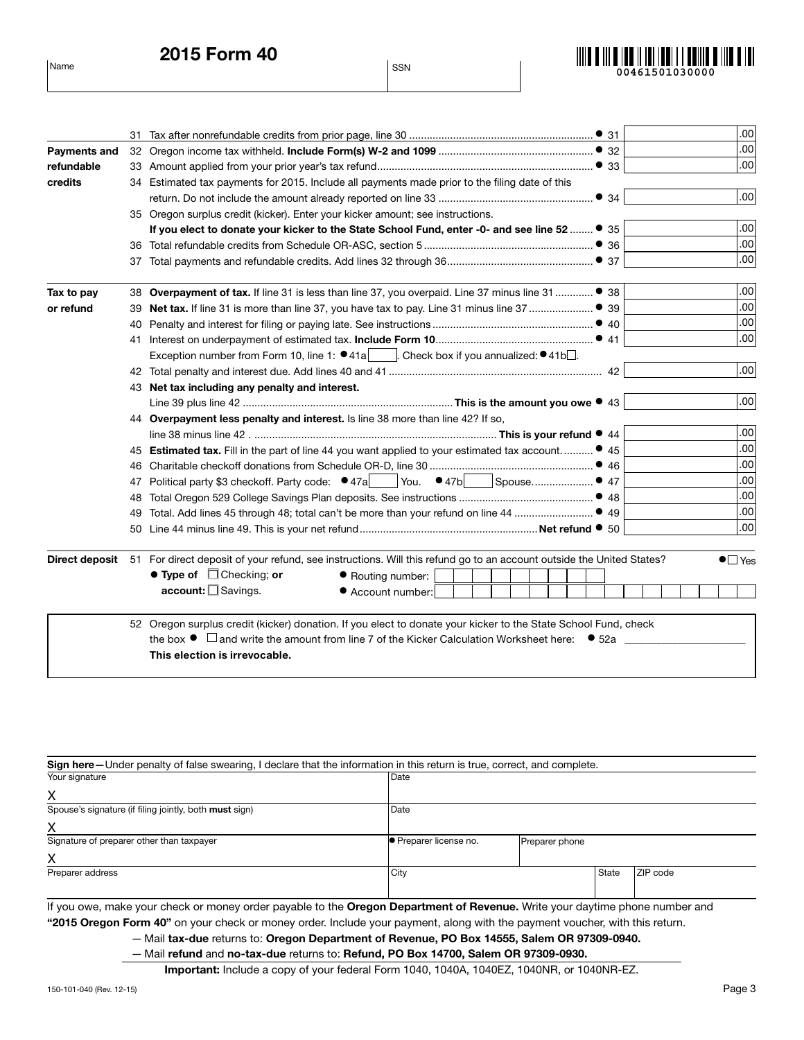

|                     |     |                                                                                                                                                             | .00 <sub>1</sub> |
|---------------------|-----|-------------------------------------------------------------------------------------------------------------------------------------------------------------|------------------|
| <b>Payments and</b> |     |                                                                                                                                                             | .00              |
| refundable          |     |                                                                                                                                                             | .00              |
| credits             |     | 34 Estimated tax payments for 2015. Include all payments made prior to the filing date of this                                                              |                  |
|                     |     | • 34                                                                                                                                                        | .00              |
|                     |     | 35 Oregon surplus credit (kicker). Enter your kicker amount; see instructions.                                                                              |                  |
|                     |     | If you elect to donate your kicker to the State School Fund, enter -0- and see line 52  ● 35                                                                | .00              |
|                     |     |                                                                                                                                                             | .00              |
|                     |     |                                                                                                                                                             | .00              |
| Tax to pay          |     | 38 Overpayment of tax. If line 31 is less than line 37, you overpaid. Line 37 minus line 31  ● 38                                                           | .00              |
| or refund           |     |                                                                                                                                                             | .00              |
|                     |     |                                                                                                                                                             | .00              |
|                     |     |                                                                                                                                                             | .00              |
|                     |     | Exception number from Form 10, line 1: $\bullet$ 41a   Check box if you annualized: $\bullet$ 41b $\Box$ .                                                  |                  |
|                     |     |                                                                                                                                                             | .00              |
|                     |     | 43 Net tax including any penalty and interest.                                                                                                              |                  |
|                     |     |                                                                                                                                                             | .00 <sub>1</sub> |
|                     |     | 44 Overpayment less penalty and interest. Is line 38 more than line 42? If so,                                                                              |                  |
|                     |     |                                                                                                                                                             | .00 <sub>1</sub> |
|                     |     | 45 Estimated tax. Fill in the part of line 44 you want applied to your estimated tax account • 45                                                           | .00              |
|                     | 46. |                                                                                                                                                             | .00              |
|                     | 47  | Political party \$3 checkoff. Party code: $\bullet$ 47a You. $\bullet$ 47b<br>Spouse ● 47                                                                   | .00              |
|                     | 48  |                                                                                                                                                             | .00              |
|                     | 49  |                                                                                                                                                             | .00              |
|                     | 50  |                                                                                                                                                             | .00              |
|                     |     | $\bullet$ $\Box$ Yes<br>Direct deposit 51 For direct deposit of your refund, see instructions. Will this refund go to an account outside the United States? |                  |
|                     |     | $\bullet$ Type of $\Box$ Checking; or<br>● Routing number:                                                                                                  |                  |
|                     |     | account: □ Savings.<br>● Account number:                                                                                                                    |                  |
|                     |     | 52 Oregon surplus credit (kicker) donation. If you elect to donate your kicker to the State School Fund, check                                              |                  |
|                     |     | the box $\bullet$ $\Box$ and write the amount from line 7 of the Kicker Calculation Worksheet here: $\bullet$ 52a                                           |                  |
|                     |     | This election is irrevocable.                                                                                                                               |                  |

| Sign here-Under penalty of false swearing, I declare that the information in this return is true, correct, and complete.          |                             |                |  |          |  |  |
|-----------------------------------------------------------------------------------------------------------------------------------|-----------------------------|----------------|--|----------|--|--|
| Your signature                                                                                                                    | Date                        |                |  |          |  |  |
| Χ                                                                                                                                 |                             |                |  |          |  |  |
| Spouse's signature (if filing jointly, both must sign)                                                                            | Date                        |                |  |          |  |  |
| x                                                                                                                                 |                             |                |  |          |  |  |
| Signature of preparer other than taxpayer                                                                                         | <b>Preparer license no.</b> | Preparer phone |  |          |  |  |
| х                                                                                                                                 |                             |                |  |          |  |  |
| Preparer address                                                                                                                  | City                        |                |  | ZIP code |  |  |
|                                                                                                                                   |                             |                |  |          |  |  |
| If you awa, make your aboak armanay arder payable to the <b>Organ Benartment of Beyanya</b> , Write your daytime phane pumber and |                             |                |  |          |  |  |

If you owe, make your check or money order payable to the Oregon Department of Revenue. Write your daytime phone number and "2015 Oregon Form 40" on your check or money order. Include your payment, along with the payment voucher, with this return.

— Mail tax-due returns to: Oregon Department of Revenue, PO Box 14555, Salem OR 97309-0940.

— Mail refund and no-tax-due returns to: Refund, PO Box 14700, Salem OR 97309-0930.

Important: Include a copy of your federal Form 1040, 1040A, 1040EZ, 1040NR, or 1040NR-EZ.